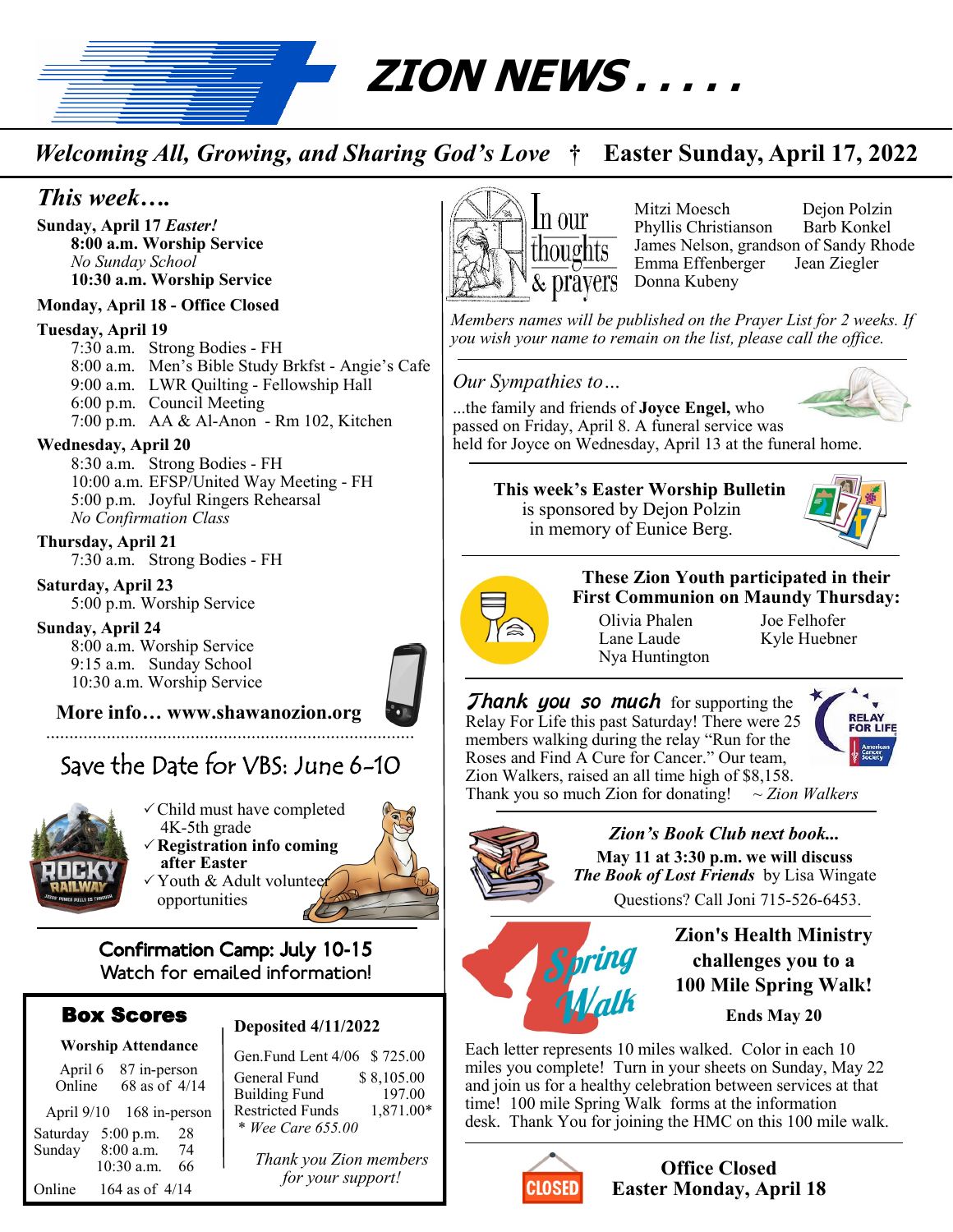

# *Welcoming All, Growing, and Sharing God's Love* **† Easter Sunday, April 17, 2022**

# *This week….*

**Sunday, April 17** *Easter!* **8:00 a.m. Worship Service** *No Sunday School* **10:30 a.m. Worship Service**

## **Monday, April 18 - Office Closed**

#### **Tuesday, April 19**

7:30 a.m. Strong Bodies - FH 8:00 a.m. Men's Bible Study Brkfst - Angie's Cafe 9:00 a.m. LWR Quilting - Fellowship Hall 6:00 p.m. Council Meeting 7:00 p.m. AA & Al-Anon - Rm 102, Kitchen

## **Wednesday, April 20**

8:30 a.m. Strong Bodies - FH 10:00 a.m. EFSP/United Way Meeting - FH 5:00 p.m. Joyful Ringers Rehearsal *No Confirmation Class*

#### **Thursday, April 21** 7:30 a.m. Strong Bodies - FH

**Saturday, April 23** 5:00 p.m. Worship Service

## **Sunday, April 24**

8:00 a.m. Worship Service 9:15 a.m. Sunday School 10:30 a.m. Worship Service

## **More info… www.shawanozion.org**

Save the Date for VBS: June 6-10



Child must have completed 4K-5th grade **Registration info coming after Easter** Youth & Adult volunteer opportunities



## Box Scores

| <b>Worship Attendance</b> |                               |
|---------------------------|-------------------------------|
| April 6<br>Online         | 87 in-person<br>68 as of 4/14 |
|                           | April 9/10 168 in-person      |
|                           | Saturday 5:00 p.m.<br>28      |
| Sunday                    | 8:00 a.m.<br>74               |
|                           | 10:30 a.m.<br>66              |
| Online                    | 164 as of $4/14$              |

## **Deposited 4/11/2022**

Gen.Fund Lent 4/06 \$ 725.00 General Fund \$ 8,105.00<br>Building Fund 197.00 Building Fund 197.00<br>Restricted Funds 1,871.00\* Restricted Funds \* *Wee Care 655.00*

*Thank you Zion members for your support!*



Mitzi Moesch Dejon Polzin Phyllis Christianson Barb Konkel James Nelson, grandson of Sandy Rhode Emma Effenberger Jean Ziegler Donna Kubeny

*Members names will be published on the Prayer List for 2 weeks. If you wish your name to remain on the list, please call the office.*

## *Our Sympathies to…*



...the family and friends of **Joyce Engel,** who passed on Friday, April 8. A funeral service was held for Joyce on Wednesday, April 13 at the funeral home.

## **This week's Easter Worship Bulletin**  is sponsored by Dejon Polzin in memory of Eunice Berg.





**These Zion Youth participated in their First Communion on Maundy Thursday:**

Olivia Phalen Joe Felhofer Lane Laude Kyle Huebner Nya Huntington

**Thank you so much** for supporting the Relay For Life this past Saturday! There were 25 members walking during the relay "Run for the Roses and Find A Cure for Cancer." Our team, Zion Walkers, raised an all time high of \$8,158.<br>Thank you so much Zion for donating!  $\sim$  Zion Walkers



Thank you so much Zion for donating!



*Zion's Book Club next book...* **May 11 at 3:30 p.m. we will discuss**  *The Book of Lost Friends* by Lisa Wingate Questions? Call Joni 715-526-6453.



**Zion's Health Ministry challenges you to a 100 Mile Spring Walk!** 

**Ends May 20**

Each letter represents 10 miles walked. Color in each 10 miles you complete! Turn in your sheets on Sunday, May 22 and join us for a healthy celebration between services at that time! 100 mile Spring Walk forms at the information desk. Thank You for joining the HMC on this 100 mile walk.



## **Office Closed Easter Monday, April 18**